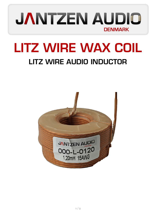

## LITZ WIRE WAX COIL LITZ WIRE AUDIO INDUCTOR

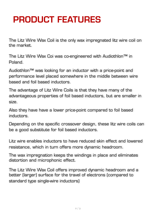## PRODUCT FEATURES

The Litz Wire Wax Coil is the only wax impregnated litz wire coil on the market.

The Litz Wire Wax Coi was co-engineered with Audiothlon™ in Poland.

Audiothlon™ was looking for an inductor with a price-point and performance level placed somewhere in the middle between wire based and foil based inductors.

The advantage of Litz Wire Coils is that they have many of the advantageous properties of foil based inductors, but are smaller in size.

Also they have have a lower price-point compared to foil based inductors.

Depending on the specific crossover design, these litz wire coils can be a good substitute for foil based inductors.

Litz wire enables inductors to have reduced skin effect and lowered resistance, which in turn offers more dynamic headroom.

The wax impregnation keeps the windings in place and eliminates distortion and microphonic effect.

The Litz Wire Wax Coil offers improved dynamic headroom and a better (larger) surface for the travel of electrons (compared to standard type single-wire inductors)